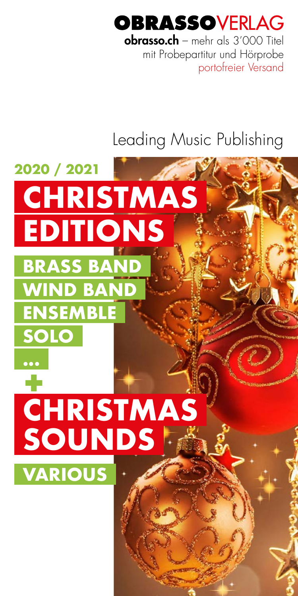### BRASSOVFRI AG

obrasso.ch - mehr als 3'000 Titel mit Probepartitur und Hörprobe portofreier Versand

## Leading Music Publishing

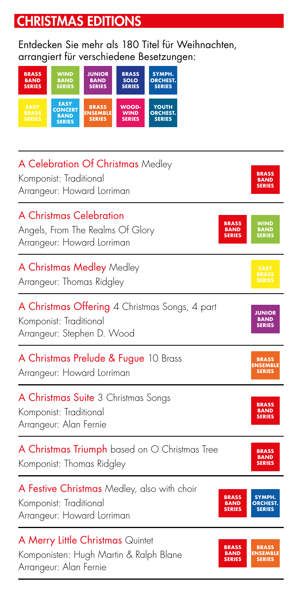### CHRISTMAS EDITIONS

Entdecken Sie mehr als 180 Titel für Weihnachten, arrangiert für verschiedene Besetzungen:



| A Celebration Of Christmas Medley<br>Komponist: Traditional<br>Arrangeur: Howard Lorriman                                                            | <b>BRASS</b><br><b>BAND</b><br><b>SERIES</b>     |
|------------------------------------------------------------------------------------------------------------------------------------------------------|--------------------------------------------------|
| A Christmas Celebration<br><b>BRASS</b><br>Angels, From The Realms Of Glory<br><b>BAND</b><br><b>SERIES</b><br>Arrangeur: Howard Lorriman            | <b>WIND</b><br><b>BAND</b><br><b>SERIES</b>      |
| A Christmas Medley Medley<br>Arrangeur: Thomas Ridgley                                                                                               | <b>EASY</b><br><b>BRASS</b><br><b>SERIES</b>     |
| A Christmas Offering 4 Christmas Songs, 4 part<br>Komponist: Traditional<br>Arrangeur: Stephen D. Wood                                               | <b>JUNIOR</b><br><b>BAND</b><br><b>SERIES</b>    |
| A Christmas Prelude & Fugue 10 Brass<br>Arrangeur: Howard Lorriman                                                                                   | <b>BRASS</b><br><b>ENSEMBLE</b><br><b>SERIES</b> |
| A Christmas Suite 3 Christmas Songs<br>Komponist: Traditional<br>Arrangeur: Alan Fernie                                                              | <b>BRASS</b><br><b>BAND</b><br><b>SERIES</b>     |
| A Christmas Triumph based on O Christmas Tree<br>Komponist: Thomas Ridgley                                                                           | <b>BRASS</b><br><b>BAND</b><br><b>SERIES</b>     |
| A Festive Christmas Medley, also with choir<br><b>BRASS</b><br>Komponist: Traditional<br><b>BAND</b><br><b>SERIES</b><br>Arrangeur: Howard Lorriman  | SYMPH.<br><b>ORCHEST.</b><br><b>SERIES</b>       |
| A Merry Little Christmas Quintet<br><b>BRASS</b><br>Komponisten: Hugh Martin & Ralph Blane<br><b>BAND</b><br><b>SERIES</b><br>Arrangeur: Alan Fernie | <b>BRASS</b><br><b>ENSEMBLE</b><br><b>SERIES</b> |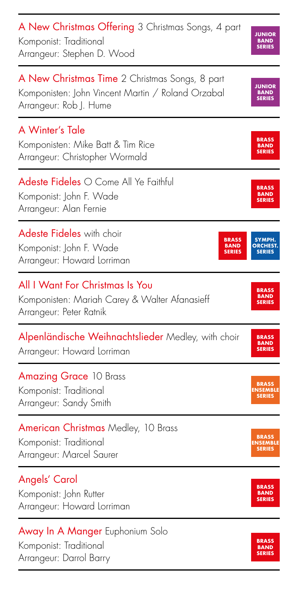| A New Christmas Offering 3 Christmas Songs, 4 part                                                                                        | <b>JUNIOR</b>                                |
|-------------------------------------------------------------------------------------------------------------------------------------------|----------------------------------------------|
| Komponist: Traditional                                                                                                                    | <b>BAND</b>                                  |
| Arrangeur: Stephen D. Wood                                                                                                                | <b>SERIES</b>                                |
| A New Christmas Time 2 Christmas Songs, 8 part                                                                                            | <b>JUNIOR</b>                                |
| Komponisten: John Vincent Martin / Roland Orzabal                                                                                         | <b>BAND</b>                                  |
| Arrangeur: Rob J. Hume                                                                                                                    | <b>SERIES</b>                                |
| A Winter's Tale                                                                                                                           | <b>BRASS</b>                                 |
| Komponisten: Mike Batt & Tim Rice                                                                                                         | <b>BAND</b>                                  |
| Arrangeur: Christopher Wormald                                                                                                            | <b>SERIES</b>                                |
| Adeste Fideles O Come All Ye Faithful                                                                                                     | <b>BRASS</b>                                 |
| Komponist: John F. Wade                                                                                                                   | <b>BAND</b>                                  |
| Arrangeur: Alan Fernie                                                                                                                    | <b>SERIES</b>                                |
| <b>Adeste Fideles</b> with choir<br><b>BRASS</b><br><b>BAND</b><br>Komponist: John F. Wade<br><b>SERIES</b><br>Arrangeur: Howard Lorriman | SYMPH.<br>ORCHEST.<br><b>SERIES</b>          |
| All I Want For Christmas Is You                                                                                                           | <b>BRASS</b>                                 |
| Komponisten: Mariah Carey & Walter Afanasieff                                                                                             | <b>BAND</b>                                  |
| Arrangeur: Peter Ratnik                                                                                                                   | <b>SERIES</b>                                |
| Alpenländische Weihnachtslieder Medley, with choir<br>Arrangeur: Howard Lorriman                                                          | <b>BRASS</b><br><b>BAND</b><br><b>SERIES</b> |
| <b>Amazing Grace 10 Brass</b>                                                                                                             | <b>BRASS</b>                                 |
| Komponist: Traditional                                                                                                                    | <b>ENSEMBLE</b>                              |
| Arrangeur: Sandy Smith                                                                                                                    | <b>SERIES</b>                                |
| American Christmas Medley, 10 Brass                                                                                                       | <b>BRASS</b>                                 |
| Komponist: Traditional                                                                                                                    | <b>ENSEMBLE</b>                              |
| Arrangeur: Marcel Saurer                                                                                                                  | <b>SERIES</b>                                |
| Angels' Carol                                                                                                                             | <b>BRASS</b>                                 |
| Komponist: John Rutter                                                                                                                    | <b>BAND</b>                                  |
| Arrangeur: Howard Lorriman                                                                                                                | <b>SERIES</b>                                |
| Away In A Manger Euphonium Solo                                                                                                           | <b>BRASS</b>                                 |
| Komponist: Traditional                                                                                                                    | <b>BAND</b>                                  |
| Arrangeur: Darrol Barry                                                                                                                   | <b>SERIES</b>                                |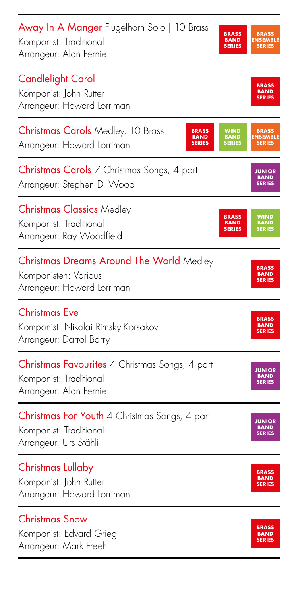| Away In A Manger Flugelhorn Solo   10 Brass<br>Komponist: Traditional<br>Arrangeur: Alan Fernie                        | <b>BRASS</b><br><b>BAND</b><br><b>SERIES</b> | <b>BRASS</b><br><b>ENSEMBLE</b><br><b>SERIES</b> |
|------------------------------------------------------------------------------------------------------------------------|----------------------------------------------|--------------------------------------------------|
| <b>Candlelight Carol</b><br>Komponist: John Rutter<br>Arrangeur: Howard Lorriman                                       |                                              | <b>BRASS</b><br><b>BAND</b><br><b>SERIES</b>     |
| <b>Christmas Carols</b> Medley, 10 Brass<br><b>BRASS</b><br><b>BAND</b><br><b>SERIES</b><br>Arrangeur: Howard Lorriman | <b>WIND<br/>BAND</b><br><b>SERIES</b>        | <b>BRASS</b><br><b>ENSEMBLE</b><br><b>SERIES</b> |
| Christmas Carols 7 Christmas Songs, 4 part<br>Arrangeur: Stephen D. Wood                                               |                                              | <b>JUNIOR</b><br><b>BAND</b><br><b>SERIES</b>    |
| <b>Christmas Classics Medley</b><br>Komponist: Traditional<br>Arrangeur: Ray Woodfield                                 | <b>BRASS</b><br><b>BAND</b><br><b>SERIES</b> | <b>WIND</b><br><b>BAND</b><br><b>SERIES</b>      |
| <b>Christmas Dreams Around The World Medley</b><br>Komponisten: Various<br>Arrangeur: Howard Lorriman                  |                                              | <b>BRASS</b><br><b>BAND</b><br><b>SERIES</b>     |
| <b>Christmas Eve</b><br>Komponist: Nikolai Rimsky-Korsakov<br>Arrangeur: Darrol Barry                                  |                                              | <b>BRASS</b><br><b>BAND</b><br><b>SERIES</b>     |
| Christmas Favourites 4 Christmas Songs, 4 part<br>Komponist: Traditional<br>Arrangeur: Alan Fernie                     |                                              | <b>JUNIOR</b><br><b>BAND</b><br><b>SERIES</b>    |
| Christmas For Youth 4 Christmas Songs, 4 part<br>Komponist: Traditional<br>Arrangeur: Urs Stähli                       |                                              | <b>JUNIOR</b><br><b>BAND</b><br><b>SERIES</b>    |
| Christmas Lullaby<br>Komponist: John Rutter<br>Arrangeur: Howard Lorriman                                              |                                              | <b>BRASS</b><br><b>BAND</b><br>SERIES            |
| Christmas Snow<br>Komponist: Edvard Grieg<br>Arrangeur: Mark Freeh                                                     |                                              | <b>BRASS</b><br><b>BAND</b><br><b>SERIES</b>     |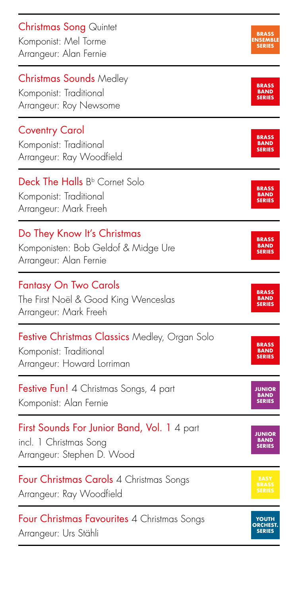| <b>Christmas Song Quintet</b>                                           | <b>BRASS</b>                                  |
|-------------------------------------------------------------------------|-----------------------------------------------|
| Komponist: Mel Torme                                                    | <b>ENSEMBLE</b>                               |
| Arrangeur: Alan Fernie                                                  | <b>SERIES</b>                                 |
| <b>Christmas Sounds</b> Medley                                          | <b>BRASS</b>                                  |
| Komponist: Traditional                                                  | <b>BAND</b>                                   |
| Arrangeur: Roy Newsome                                                  | <b>SERIES</b>                                 |
| <b>Coventry Carol</b>                                                   | <b>BRASS</b>                                  |
| Komponist: Traditional                                                  | <b>BAND</b>                                   |
| Arrangeur: Ray Woodfield                                                | <b>SERIES</b>                                 |
| Deck The Halls B <sup>b</sup> Cornet Solo                               | <b>BRASS</b>                                  |
| Komponist: Traditional                                                  | <b>BAND</b>                                   |
| Arrangeur: Mark Freeh                                                   | <b>SERIES</b>                                 |
| Do They Know It's Christmas                                             | <b>BRASS</b>                                  |
| Komponisten: Bob Geldof & Midge Ure                                     | <b>BAND</b>                                   |
| Arrangeur: Alan Fernie                                                  | <b>SERIES</b>                                 |
| <b>Fantasy On Two Carols</b>                                            | <b>BRASS</b>                                  |
| The First Noël & Good King Wenceslas                                    | <b>BAND</b>                                   |
| Arrangeur: Mark Freeh                                                   | <b>SERIES</b>                                 |
| <b>Festive Christmas Classics</b> Medley, Organ Solo                    | <b>BRASS</b>                                  |
| Komponist: Traditional                                                  | <b>BAND</b>                                   |
| Arrangeur: Howard Lorriman                                              | <b>SERIES</b>                                 |
| <b>Festive Fun!</b> 4 Christmas Songs, 4 part<br>Komponist: Alan Fernie | <b>JUNIOR</b><br><b>BAND</b><br><b>SERIES</b> |
| First Sounds For Junior Band, Vol. 1 4 part                             | <b>JUNIOR</b>                                 |
| incl. 1 Christmas Song                                                  | <b>BAND</b>                                   |
| Arrangeur: Stephen D. Wood                                              | <b>SERIES</b>                                 |
| Four Christmas Carols 4 Christmas Songs<br>Arrangeur: Ray Woodfield     |                                               |
| Four Christmas Favourites 4 Christmas Songs<br>Arrangeur: Urs Stähli    | ΥΟUΤΗ<br>ORCHEST.<br><b>SERIES</b>            |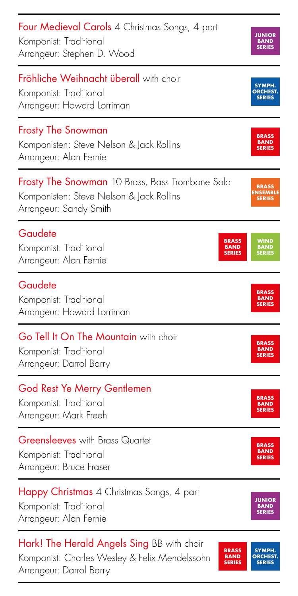| <b>Four Medieval Carols</b> 4 Christmas Songs, 4 part                                                                      | <b>JUNIOR</b>                               |
|----------------------------------------------------------------------------------------------------------------------------|---------------------------------------------|
| Komponist: Traditional                                                                                                     | <b>BAND</b>                                 |
| Arrangeur: Stephen D. Wood                                                                                                 | <b>SERIES</b>                               |
| Fröhliche Weihnacht überall with choir                                                                                     | SYMPH.                                      |
| Komponist: Traditional                                                                                                     | <b>ORCHEST</b>                              |
| Arrangeur: Howard Lorriman                                                                                                 | <b>SERIES</b>                               |
| <b>Frosty The Snowman</b>                                                                                                  | <b>BRASS</b>                                |
| Komponisten: Steve Nelson & Jack Rollins                                                                                   | <b>BAND</b>                                 |
| Arrangeur: Alan Fernie                                                                                                     | <b>SERIES</b>                               |
| <b>Frosty The Snowman</b> 10 Brass, Bass Trombone Solo                                                                     | <b>BRASS</b>                                |
| Komponisten: Steve Nelson & Jack Rollins                                                                                   | ENSEMBLE                                    |
| Arrangeur: Sandy Smith                                                                                                     | <b>SERIES</b>                               |
| Gaudete<br><b>BRASS</b><br>Komponist: Traditional<br><b>BAND</b><br><b>SERIES</b><br>Arrangeur: Alan Fernie                | <b>WIND</b><br><b>BAND</b><br><b>SERIES</b> |
| Gaudete                                                                                                                    | <b>BRASS</b>                                |
| Komponist: Traditional                                                                                                     | <b>BAND</b>                                 |
| Arrangeur: Howard Lorriman                                                                                                 | <b>SERIES</b>                               |
| Go Tell It On The Mountain with choir                                                                                      | <b>BRASS</b>                                |
| Komponist: Traditional                                                                                                     | <b>BAND</b>                                 |
| Arrangeur: Darrol Barry                                                                                                    | <b>SERIES</b>                               |
| God Rest Ye Merry Gentlemen                                                                                                | <b>BRASS</b>                                |
| Komponist: Traditional                                                                                                     | <b>BAND</b>                                 |
| Arrangeur: Mark Freeh                                                                                                      | <b>SERIES</b>                               |
| <b>Greensleeves</b> with Brass Quartet                                                                                     | <b>RRASS</b>                                |
| Komponist: Traditional                                                                                                     | <b>BAND</b>                                 |
| Arrangeur: Bruce Fraser                                                                                                    | <b>SERIES</b>                               |
| Happy Christmas 4 Christmas Songs, 4 part<br>Komponist: Traditional<br>Arrangeur: Alan Fernie                              | saar                                        |
| Hark! The Herald Angels Sing BB with choir<br><b>BRASS</b><br>Komponist: Charles Wesley & Felix Mendelssohn<br><b>BAND</b> | SYMPH.<br>ORCHEST.                          |

Arrangeur: Darrol Barry

**SERIES SERIES**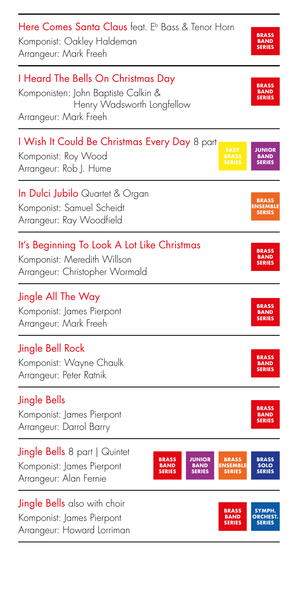| Here Comes Santa Claus feat. E <sup>b</sup> Bass & Tenor Horn                                                                                                                                                                                    | <b>BRASS</b>                                  |
|--------------------------------------------------------------------------------------------------------------------------------------------------------------------------------------------------------------------------------------------------|-----------------------------------------------|
| Komponist: Oakley Haldeman                                                                                                                                                                                                                       | <b>BAND</b>                                   |
| Arrangeur: Mark Freeh                                                                                                                                                                                                                            | <b>SERIES</b>                                 |
| I Heard The Bells On Christmas Day<br>Komponisten: John Baptiste Calkin &<br>Henry Wadsworth Longfellow<br>Arrangeur: Mark Freeh                                                                                                                 | <b>BRASS</b><br><b>BAND</b><br><b>SERIES</b>  |
| I Wish It Could Be Christmas Every Day 8 part<br><b>EASY</b><br>Komponist: Roy Wood<br><b>BRASS</b><br><b>SERIES</b><br>Arrangeur: Rob J. Hume                                                                                                   | <b>JUNIOR</b><br><b>BAND</b><br><b>SERIES</b> |
| <b>In Dulci Jubilo</b> Quartet & Organ                                                                                                                                                                                                           | <b>BRASS</b>                                  |
| Komponist: Samuel Scheidt                                                                                                                                                                                                                        | <b>ENSEMBLE</b>                               |
| Arrangeur: Ray Woodfield                                                                                                                                                                                                                         | <b>SERIES</b>                                 |
| It's Beginning To Look A Lot Like Christmas                                                                                                                                                                                                      | <b>BRASS</b>                                  |
| Komponist: Meredith Willson                                                                                                                                                                                                                      | <b>BAND</b>                                   |
| Arrangeur: Christopher Wormald                                                                                                                                                                                                                   | <b>SERIES</b>                                 |
| Jingle All The Way                                                                                                                                                                                                                               | <b>BRASS</b>                                  |
| Komponist: James Pierpont                                                                                                                                                                                                                        | <b>BAND</b>                                   |
| Arrangeur: Mark Freeh                                                                                                                                                                                                                            | <b>SERIES</b>                                 |
| Jingle Bell Rock                                                                                                                                                                                                                                 | <b>BRASS</b>                                  |
| Komponist: Wayne Chaulk                                                                                                                                                                                                                          | <b>BAND</b>                                   |
| Arrangeur: Peter Ratnik                                                                                                                                                                                                                          | <b>SERIES</b>                                 |
| <b>Jingle Bells</b>                                                                                                                                                                                                                              | <b>BRASS</b>                                  |
| Komponist: James Pierpont                                                                                                                                                                                                                        | <b>BAND</b>                                   |
| Arrangeur: Darrol Barry                                                                                                                                                                                                                          | <b>SERIES</b>                                 |
| <b>Jingle Bells</b> 8 part   Quintet<br><b>BRASS</b><br><b>JUNIOR</b><br><b>BRASS</b><br>Komponist: James Pierpont<br><b>ENSEMBLE</b><br><b>BAND</b><br><b>BAND</b><br><b>SERIES</b><br><b>SERIES</b><br><b>SERIES</b><br>Arrangeur: Alan Fernie | <b>BRASS</b><br><b>SOLO</b><br><b>SERIES</b>  |
| <b>Jingle Bells</b> also with choir<br><b>BRASS</b><br>Komponist: James Pierpont<br><b>BAND</b><br><b>SERIES</b><br>Arrangeur: Howard Lorriman                                                                                                   | SYMPH.<br><b>ORCHEST.</b><br><b>SERIES</b>    |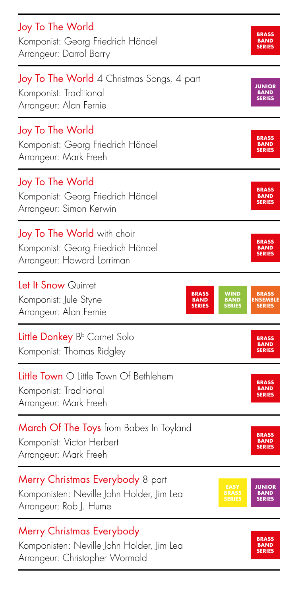| Joy To The World                                                                                                                                               | <b>BRASS</b>                                     |
|----------------------------------------------------------------------------------------------------------------------------------------------------------------|--------------------------------------------------|
| Komponist: Georg Friedrich Händel                                                                                                                              | <b>BAND</b>                                      |
| Arrangeur: Darrol Barry                                                                                                                                        | <b>SERIES</b>                                    |
| Joy To The World 4 Christmas Songs, 4 part                                                                                                                     | <b>JUNIOR</b>                                    |
| Komponist: Traditional                                                                                                                                         | <b>BAND</b>                                      |
| Arrangeur: Alan Fernie                                                                                                                                         | <b>SERIES</b>                                    |
| Joy To The World                                                                                                                                               | <b>BRASS</b>                                     |
| Komponist: Georg Friedrich Händel                                                                                                                              | <b>BAND</b>                                      |
| Arrangeur: Mark Freeh                                                                                                                                          | <b>SERIES</b>                                    |
| Joy To The World                                                                                                                                               | <b>BRASS</b>                                     |
| Komponist: Georg Friedrich Händel                                                                                                                              | <b>BAND</b>                                      |
| Arrangeur: Simon Kerwin                                                                                                                                        | <b>SERIES</b>                                    |
| Joy To The World with choir                                                                                                                                    | <b>BRASS</b>                                     |
| Komponist: Georg Friedrich Händel                                                                                                                              | <b>BAND</b>                                      |
| Arrangeur: Howard Lorriman                                                                                                                                     | <b>SERIES</b>                                    |
| Let It Snow Quintet<br><b>BRASS</b><br>WIND<br>Komponist: Jule Styne<br><b>BAND</b><br><b>BAND</b><br><b>SERIES</b><br><b>SERIES</b><br>Arrangeur: Alan Fernie | <b>BRASS</b><br><b>ENSEMBLE</b><br><b>SERIES</b> |
| Little Donkey B <sup>b</sup> Cornet Solo<br>Komponist: Thomas Ridgley                                                                                          | <b>BRASS</b><br><b>BAND</b><br><b>SERIES</b>     |
| <b>Little Town</b> $\bigcirc$ Little Town $\bigcirc$ f Bethlehem                                                                                               | <b>BRASS</b>                                     |
| Komponist: Traditional                                                                                                                                         | <b>BAND</b>                                      |
| Arrangeur: Mark Freeh                                                                                                                                          | <b>SERIES</b>                                    |
| <b>March Of The Toys</b> from Babes In Toyland                                                                                                                 | <b>BRASS</b>                                     |
| Komponist: Victor Herbert                                                                                                                                      | <b>BAND</b>                                      |
| Arrangeur: Mark Freeh                                                                                                                                          | <b>SERIES</b>                                    |
| Merry Christmas Everybody 8 part<br><b>EASY</b><br>Komponisten: Neville John Holder, Jim Lea<br><b>BRASS</b><br><b>SERIES</b><br>Arrangeur: Rob J. Hume        | <b>JUNIOR</b><br><b>BAND</b><br><b>SERIES</b>    |
| Merry Christmas Everybody                                                                                                                                      | <b>BRASS</b>                                     |
| Komponisten: Neville John Holder, Jim Lea                                                                                                                      | <b>BAND</b>                                      |
| Arrangeur: Christopher Wormald                                                                                                                                 | <b>SERIES</b>                                    |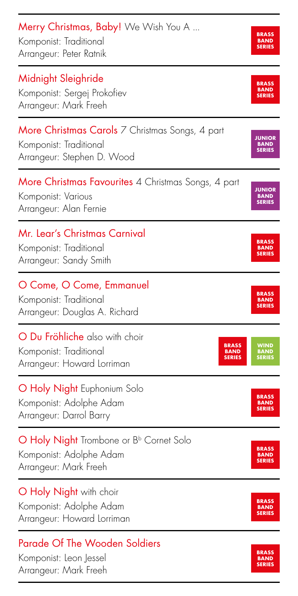| Merry Christmas, Baby! We Wish You A                                                                                                   | <b>BRASS</b>                                |
|----------------------------------------------------------------------------------------------------------------------------------------|---------------------------------------------|
| Komponist: Traditional                                                                                                                 | <b>BAND</b>                                 |
| Arrangeur: Peter Ratnik                                                                                                                | <b>SERIES</b>                               |
| Midnight Sleighride                                                                                                                    | <b>BRASS</b>                                |
| Komponist: Sergej Prokofiev                                                                                                            | <b>BAND</b>                                 |
| Arrangeur: Mark Freeh                                                                                                                  | <b>SERIES</b>                               |
| <b>More Christmas Carols</b> 7 Christmas Songs, 4 part                                                                                 | <b>JUNIOR</b>                               |
| Komponist: Traditional                                                                                                                 | <b>BAND</b>                                 |
| Arrangeur: Stephen D. Wood                                                                                                             | <b>SERIES</b>                               |
| More Christmas Favourites 4 Christmas Songs, 4 part                                                                                    | <b>JUNIOR</b>                               |
| Komponist: Various                                                                                                                     | <b>BAND</b>                                 |
| Arrangeur: Alan Fernie                                                                                                                 | <b>SERIES</b>                               |
| Mr. Lear's Christmas Carnival                                                                                                          | <b>BRASS</b>                                |
| Komponist: Traditional                                                                                                                 | <b>BAND</b>                                 |
| Arrangeur: Sandy Smith                                                                                                                 | <b>SERIES</b>                               |
| O Come, O Come, Emmanuel                                                                                                               | <b>BRASS</b>                                |
| Komponist: Traditional                                                                                                                 | <b>BAND</b>                                 |
| Arrangeur: Douglas A. Richard                                                                                                          | <b>SERIES</b>                               |
| O Du Fröhliche also with choir<br><b>BRASS</b><br>Komponist: Traditional<br><b>BAND</b><br><b>SERIES</b><br>Arrangeur: Howard Lorriman | <b>WIND</b><br><b>BAND</b><br><b>SERIES</b> |
| O Holy Night Euphonium Solo                                                                                                            | <b>BRASS</b>                                |
| Komponist: Adolphe Adam                                                                                                                | <b>BAND</b>                                 |
| Arrangeur: Darrol Barry                                                                                                                | <b>SERIES</b>                               |
| O Holy Night Trombone or B <sup>b</sup> Cornet Solo                                                                                    | <b>BRASS</b>                                |
| Komponist: Adolphe Adam                                                                                                                | <b>BAND</b>                                 |
| Arrangeur: Mark Freeh                                                                                                                  | <b>SERIES</b>                               |
| O Holy Night with choir                                                                                                                | <b>BRASS</b>                                |
| Komponist: Adolphe Adam                                                                                                                | <b>BAND</b>                                 |
| Arrangeur: Howard Lorriman                                                                                                             | <b>SERIES</b>                               |
| <b>Parade Of The Wooden Soldiers</b>                                                                                                   | <b>BRASS</b>                                |
| Komponist: Leon Jessel                                                                                                                 | <b>BAND</b>                                 |
| Arrangeur: Mark Freeh                                                                                                                  | <b>SERIES</b>                               |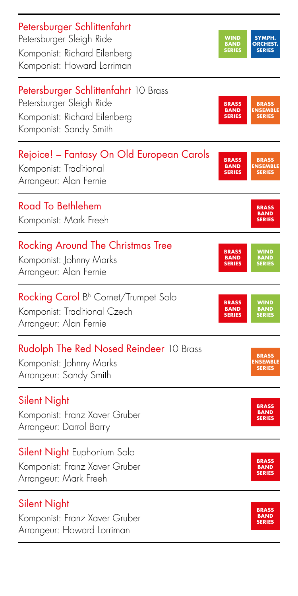| Petersburger Schlittenfahrt<br>Petersburger Sleigh Ride<br>Komponist: Richard Eilenberg<br>Komponist: Howard Lorriman      | <b>WIND</b><br><b>BAND</b><br><b>SERIES</b>  | SYMPH.<br><b>ORCHEST.</b><br><b>SERIES</b>       |
|----------------------------------------------------------------------------------------------------------------------------|----------------------------------------------|--------------------------------------------------|
| Petersburger Schlittenfahrt 10 Brass<br>Petersburger Sleigh Ride<br>Komponist: Richard Eilenberg<br>Komponist: Sandy Smith | <b>BRASS</b><br><b>BAND</b><br><b>SERIES</b> | <b>BRASS</b><br><b>ENSEMBLE</b><br><b>SERIES</b> |
| Rejoice! – Fantasy On Old European Carols<br>Komponist: Traditional<br>Arrangeur: Alan Fernie                              | <b>BRASS</b><br><b>BAND</b><br><b>SERIES</b> | <b>BRASS</b><br><b>ENSEMBLE</b><br><b>SERIES</b> |
| Road To Bethlehem<br>Komponist: Mark Freeh                                                                                 |                                              | <b>BRASS</b><br><b>BAND</b><br><b>SERIES</b>     |
| <b>Rocking Around The Christmas Tree</b><br>Komponist: Johnny Marks<br>Arrangeur: Alan Fernie                              | <b>BRASS</b><br><b>BAND</b><br><b>SERIES</b> | <b>WIND</b><br><b>BAND</b><br><b>SERIES</b>      |
| Rocking Carol B <sup>b</sup> Cornet/Trumpet Solo<br>Komponist: Traditional Czech<br>Arrangeur: Alan Fernie                 | <b>BRASS</b><br><b>BAND</b><br><b>SERIES</b> | <b>WIND</b><br><b>BAND</b><br><b>SERIES</b>      |
| <b>Rudolph The Red Nosed Reindeer 10 Brass</b><br>Komponist: Johnny Marks<br>Arrangeur: Sandy Smith                        |                                              | <b>BRASS</b><br><b>ENSEMBLE</b><br><b>SERIES</b> |
| <b>Silent Night</b><br>Komponist: Franz Xaver Gruber<br>Arrangeur: Darrol Barry                                            |                                              | <b>BRASS</b><br><b>BAND</b><br><b>SERIES</b>     |
| Silent Night Euphonium Solo<br>Komponist: Franz Xaver Gruber<br>Arrangeur: Mark Freeh                                      |                                              | <b>BRASS</b><br>BА<br><b>SERIES</b>              |
| <b>Silent Night</b><br>Komponist: Franz Xaver Gruber<br>Arrangeur: Howard Lorriman                                         |                                              | <b>BRASS</b><br><b>BAND</b><br><b>SERIES</b>     |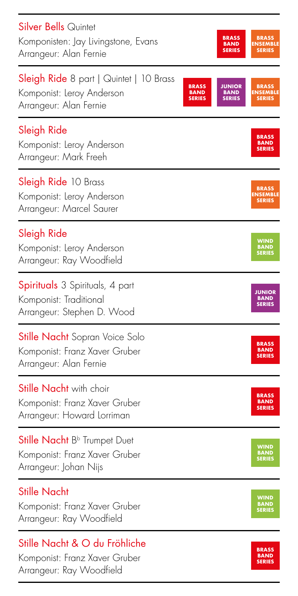| <b>Silver Bells Quintet</b><br>Komponisten: Jay Livingstone, Evans<br>Arrangeur: Alan Fernie              |                                              | <b>BRASS</b><br><b>BAND</b><br><b>SERIES</b>  | <b>BRASS</b><br><b>ENSEMBLE</b><br><b>SERIES</b> |
|-----------------------------------------------------------------------------------------------------------|----------------------------------------------|-----------------------------------------------|--------------------------------------------------|
| <b>Sleigh Ride</b> 8 part   Quintet   10 Brass<br>Komponist: Leroy Anderson<br>Arrangeur: Alan Fernie     | <b>BRASS</b><br><b>BAND</b><br><b>SERIES</b> | <b>JUNIOR</b><br><b>BAND</b><br><b>SERIES</b> | <b>BRASS</b><br><b>ENSEMBLE</b><br><b>SERIES</b> |
| <b>Sleigh Ride</b><br>Komponist: Leroy Anderson<br>Arrangeur: Mark Freeh                                  |                                              |                                               | <b>BRASS</b><br><b>BAND</b><br><b>SERIES</b>     |
| <b>Sleigh Ride 10 Brass</b><br>Komponist: Leroy Anderson<br>Arrangeur: Marcel Saurer                      |                                              |                                               | <b>BRASS</b><br><b>ENSEMBLE</b><br><b>SERIES</b> |
| Sleigh Ride<br>Komponist: Leroy Anderson<br>Arrangeur: Ray Woodfield                                      |                                              |                                               | <b>WIND</b><br><b>BAND</b><br><b>SERIES</b>      |
| <b>Spirituals</b> 3 Spirituals, 4 part<br>Komponist: Traditional<br>Arrangeur: Stephen D. Wood            |                                              |                                               | <b>JUNIOR</b><br><b>BAND</b><br><b>SERIES</b>    |
| <b>Stille Nacht</b> Sopran Voice Solo<br>Komponist: Franz Xaver Gruber<br>Arrangeur: Alan Fernie          |                                              |                                               | <b>BRASS</b><br><b>BAND</b><br><b>SERIES</b>     |
| <b>Stille Nacht</b> with choir<br>Komponist: Franz Xaver Gruber<br>Arrangeur: Howard Lorriman             |                                              |                                               | <b>BRASS</b><br><b>BAND</b><br><b>SERIES</b>     |
| <b>Stille Nacht B</b> <sup>b</sup> Trumpet Duet<br>Komponist: Franz Xaver Gruber<br>Arrangeur: Johan Nijs |                                              |                                               | WIND<br><b>BAND</b><br><b>SERIES</b>             |
| <b>Stille Nacht</b><br>Komponist: Franz Xaver Gruber<br>Arrangeur: Ray Woodfield                          |                                              |                                               | <b>WIND</b><br><b>BAND</b><br><b>SERIES</b>      |
| Stille Nacht & O du Fröhliche<br>Komponist: Franz Xaver Gruber<br>Arrangeur: Ray Woodfield                |                                              |                                               | <b>BRASS</b><br><b>BAND</b><br><b>SERIES</b>     |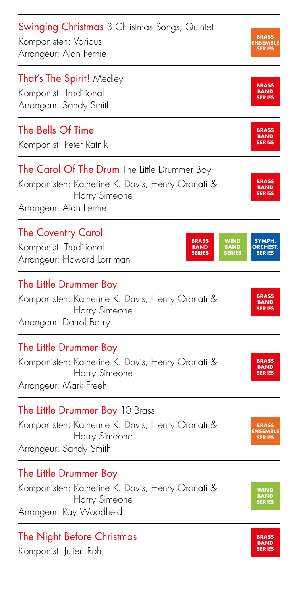| <b>Swinging Christmas</b> 3 Christmas Songs, Quintet<br>Komponisten: Various<br>Arrangeur: Alan Fernie                                      | <b>BRASS</b><br><b>ENSEMBLE</b><br><b>SERIES</b>                                   |
|---------------------------------------------------------------------------------------------------------------------------------------------|------------------------------------------------------------------------------------|
| <b>That's The Spirit!</b> Medley<br>Komponist: Traditional<br>Arrangeur: Sandy Smith                                                        | <b>BRASS</b><br><b>BAND</b><br><b>SERIES</b>                                       |
| The Bells Of Time<br>Komponist: Peter Ratnik                                                                                                | <b>BRASS</b><br><b>BAND</b><br><b>SERIES</b>                                       |
| The Carol Of The Drum The Little Drummer Boy<br>Komponisten: Katherine K. Davis, Henry Oronati &<br>Harry Simeone<br>Arrangeur: Alan Fernie | <b>BRASS</b><br><b>BAND</b><br><b>SERIES</b>                                       |
| <b>The Coventry Carol</b><br><b>BRASS</b><br>Komponist: Traditional<br><b>BAND</b><br><b>SERIES</b><br>Arrangeur: Howard Lorriman           | <b>WIND</b><br>SYMPH.<br><b>BAND</b><br>ORCHEST.<br><b>SERIES</b><br><b>SERIES</b> |
| The Little Drummer Boy<br>Komponisten: Katherine K. Davis, Henry Oronati &<br>Harry Simeone<br>Arrangeur: Darrol Barry                      | <b>BRASS</b><br><b>BAND</b><br><b>SERIES</b>                                       |
| The Little Drummer Boy<br>Komponisten: Katherine K. Davis, Henry Oronati &<br>Harry Simeone<br>Arrangeur: Mark Freeh                        | <b>BRASS</b><br><b>BAND</b><br><b>SERIES</b>                                       |
| The Little Drummer Boy 10 Brass<br>Komponisten: Katherine K. Davis, Henry Oronati &<br>Harry Simeone<br>Arrangeur: Sandy Smith              | <b>BRASS</b><br><b>ENSEMBLE</b><br><b>SERIES</b>                                   |
| The Little Drummer Boy<br>Komponisten: Katherine K. Davis, Henry Oronati &<br>Harry Simeone<br>Arrangeur: Ray Woodfield                     | <b>WIND</b><br><b>BAND</b><br><b>SERIES</b>                                        |
| The Night Before Christmas<br>Komponist: Julien Roh                                                                                         | <b>BRASS</b><br><b>BAND</b><br><b>SERIES</b>                                       |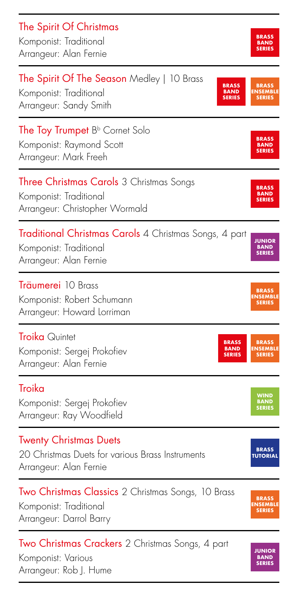| The Spirit Of Christmas                                                                                                                        | <b>BRASS</b>                                     |
|------------------------------------------------------------------------------------------------------------------------------------------------|--------------------------------------------------|
| Komponist: Traditional                                                                                                                         | <b>BAND</b>                                      |
| Arrangeur: Alan Fernie                                                                                                                         | <b>SERIES</b>                                    |
| The Spirit Of The Season Medley   10 Brass<br><b>BRASS</b><br><b>BAND</b><br>Komponist: Traditional<br><b>SERIES</b><br>Arrangeur: Sandy Smith | <b>BRASS</b><br><b>ENSEMBLE</b><br><b>SERIES</b> |
| The Toy Trumpet B <sup>b</sup> Cornet Solo                                                                                                     | <b>BRASS</b>                                     |
| Komponist: Raymond Scott                                                                                                                       | <b>BAND</b>                                      |
| Arrangeur: Mark Freeh                                                                                                                          | <b>SERIES</b>                                    |
| <b>Three Christmas Carols</b> 3 Christmas Songs                                                                                                | <b>BRASS</b>                                     |
| Komponist: Traditional                                                                                                                         | <b>BAND</b>                                      |
| Arrangeur: Christopher Wormald                                                                                                                 | <b>SERIES</b>                                    |
| Traditional Christmas Carols 4 Christmas Songs, 4 part                                                                                         | <b>JUNIOR</b>                                    |
| Komponist: Traditional                                                                                                                         | <b>BAND</b>                                      |
| Arrangeur: Alan Fernie                                                                                                                         | <b>SERIES</b>                                    |
| Träumerei 10 Brass                                                                                                                             | <b>BRASS</b>                                     |
| Komponist: Robert Schumann                                                                                                                     | <b>ENSEMBLE</b>                                  |
| Arrangeur: Howard Lorriman                                                                                                                     | <b>SERIES</b>                                    |
| <b>Troika</b> Quintet<br><b>BRASS</b><br><b>BAND</b><br>Komponist: Sergej Prokofiev<br><b>SERIES</b><br>Arrangeur: Alan Fernie                 | <b>BRASS</b><br><b>ENSEMBLE</b><br><b>SERIES</b> |
| Troika                                                                                                                                         | <b>WIND</b>                                      |
| Komponist: Sergej Prokofiev                                                                                                                    | <b>BAND</b>                                      |
| Arrangeur: Ray Woodfield                                                                                                                       | <b>SERIES</b>                                    |
| <b>Twenty Christmas Duets</b><br>20 Christmas Duets for various Brass Instruments<br>Arrangeur: Alan Fernie                                    | <b>BRASS</b><br><b>TUTORIAL</b>                  |
| Two Christmas Classics 2 Christmas Songs, 10 Brass                                                                                             | <b>BRASS</b>                                     |
| Komponist: Traditional                                                                                                                         | ENSEMBLE                                         |
| Arrangeur: Darrol Barry                                                                                                                        | <b>SERIES</b>                                    |
| Two Christmas Crackers 2 Christmas Songs, 4 part                                                                                               | <b>JUNIOR</b>                                    |
| Komponist: Various                                                                                                                             | <b>BAND</b>                                      |
| Arrangeur: Rob J. Hume                                                                                                                         | <b>SERIES</b>                                    |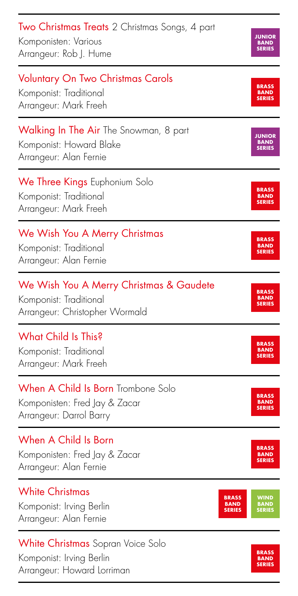| Two Christmas Treats 2 Christmas Songs, 4 part                                                                               | <b>JUNIOR</b>                               |
|------------------------------------------------------------------------------------------------------------------------------|---------------------------------------------|
| Komponisten: Various                                                                                                         | <b>BAND</b>                                 |
| Arrangeur: Rob J. Hume                                                                                                       | <b>SERIES</b>                               |
| Voluntary On Two Christmas Carols                                                                                            | <b>BRASS</b>                                |
| Komponist: Traditional                                                                                                       | <b>BAND</b>                                 |
| Arrangeur: Mark Freeh                                                                                                        | <b>SERIES</b>                               |
| <b>Walking In The Air</b> The Snowman, 8 part                                                                                | <b>JUNIOR</b>                               |
| Komponist: Howard Blake                                                                                                      | <b>BAND</b>                                 |
| Arrangeur: Alan Fernie                                                                                                       | <b>SERIES</b>                               |
| <b>We Three Kings</b> Euphonium Solo                                                                                         | <b>BRASS</b>                                |
| Komponist: Traditional                                                                                                       | <b>BAND</b>                                 |
| Arrangeur: Mark Freeh                                                                                                        | <b>SERIES</b>                               |
| We Wish You A Merry Christmas                                                                                                | <b>BRASS</b>                                |
| Komponist: Traditional                                                                                                       | <b>BAND</b>                                 |
| Arrangeur: Alan Fernie                                                                                                       | <b>SERIES</b>                               |
| We Wish You A Merry Christmas & Gaudete                                                                                      | <b>BRASS</b>                                |
| Komponist: Traditional                                                                                                       | <b>BAND</b>                                 |
| Arrangeur: Christopher Wormald                                                                                               | <b>SERIES</b>                               |
| <b>What Child Is This?</b>                                                                                                   | <b>BRASS</b>                                |
| Komponist: Traditional                                                                                                       | <b>BAND</b>                                 |
| Arrangeur: Mark Freeh                                                                                                        | <b>SERIES</b>                               |
| <b>When A Child Is Born</b> Trombone Solo                                                                                    | <b>BRASS</b>                                |
| Komponisten: Fred Jay & Zacar                                                                                                | <b>BAND</b>                                 |
| Arrangeur: Darrol Barry                                                                                                      | <b>SERIES</b>                               |
| When A Child Is Born                                                                                                         | <b>BRASS</b>                                |
| Komponisten: Fred Jay & Zacar                                                                                                | <b>BAND</b>                                 |
| Arrangeur: Alan Fernie                                                                                                       | <b>SERIES</b>                               |
| <b>White Christmas</b><br><b>BRASS</b><br><b>BAND</b><br>Komponist: Irving Berlin<br><b>SERIES</b><br>Arrangeur: Alan Fernie | <b>WIND</b><br><b>BAND</b><br><b>SERIES</b> |
| White Christmas Sopran Voice Solo                                                                                            | <b>BRASS</b>                                |
| Komponist: Irving Berlin                                                                                                     | <b>BAND</b>                                 |
| Arrangeur: Howard Lorriman                                                                                                   | <b>SERIES</b>                               |

Arrangeur: Howard Lorriman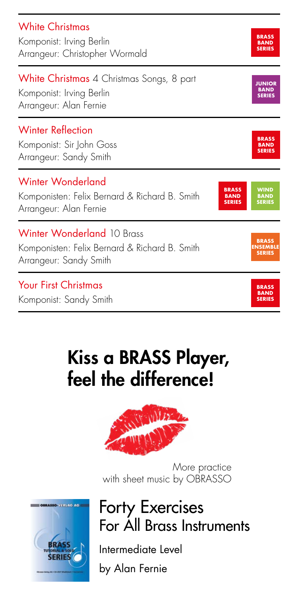| <b>White Christmas</b>                                                                                                                              | <b>BRASS</b>                                |
|-----------------------------------------------------------------------------------------------------------------------------------------------------|---------------------------------------------|
| Komponist: Irving Berlin                                                                                                                            | <b>RAND</b>                                 |
| Arrangeur: Christopher Wormald                                                                                                                      | <b>SERIES</b>                               |
| White Christmas 4 Christmas Songs, 8 part<br>Komponist: Irving Berlin<br>Arrangeur: Alan Fernie                                                     | <b>JUNIOR</b><br>SERIES                     |
| <b>Winter Reflection</b>                                                                                                                            | <b>BRASS</b>                                |
| Komponist: Sir John Goss                                                                                                                            | <b>RAND</b>                                 |
| Arrangeur: Sandy Smith                                                                                                                              | <b>SERIES</b>                               |
| <b>Winter Wonderland</b><br><b>BRASS</b><br>Komponisten: Felix Bernard & Richard B. Smith<br><b>BAND</b><br><b>SERIES</b><br>Arrangeur: Alan Fernie | <b>WIND</b><br><b>BAND</b><br><b>SERIES</b> |
| <b>Winter Wonderland 10 Brass</b>                                                                                                                   | <b>BRASS</b>                                |
| Komponisten: Felix Bernard & Richard B. Smith                                                                                                       | ENSEMBLE                                    |
| Arrangeur: Sandy Smith                                                                                                                              | <b>SERIES</b>                               |
| <b>Your First Christmas</b><br>Komponist: Sandy Smith                                                                                               | BRASS<br>RAND<br><b>SERIES</b>              |

# Kiss a BRASS Player, feel the difference!



More practice with sheet music by OBRASSO



# Forty Exercises For All Brass Instruments

Intermediate Level

by Alan Fernie